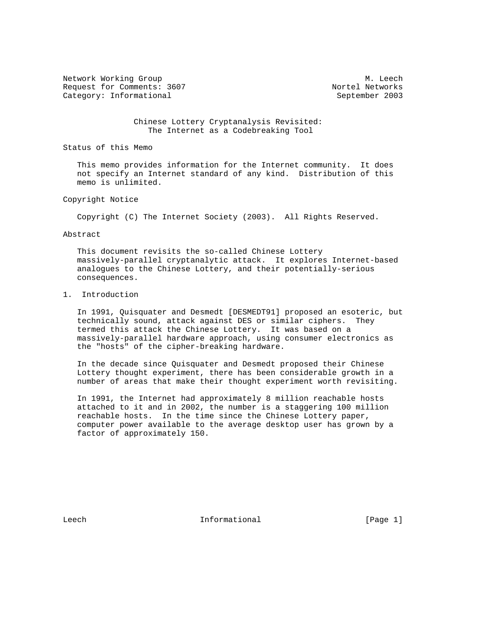Network Working Group Methods and Methods and Methods and Methods and Methods and Methods and Methods and Methods and Methods and Methods and Methods and Methods and Methods and Methods and Methods and Methods and Methods Request for Comments: 3607 Nortel Networks Category: Informational September 2003

 Chinese Lottery Cryptanalysis Revisited: The Internet as a Codebreaking Tool

Status of this Memo

 This memo provides information for the Internet community. It does not specify an Internet standard of any kind. Distribution of this memo is unlimited.

# Copyright Notice

Copyright (C) The Internet Society (2003). All Rights Reserved.

#### Abstract

 This document revisits the so-called Chinese Lottery massively-parallel cryptanalytic attack. It explores Internet-based analogues to the Chinese Lottery, and their potentially-serious consequences.

# 1. Introduction

 In 1991, Quisquater and Desmedt [DESMEDT91] proposed an esoteric, but technically sound, attack against DES or similar ciphers. They termed this attack the Chinese Lottery. It was based on a massively-parallel hardware approach, using consumer electronics as the "hosts" of the cipher-breaking hardware.

 In the decade since Quisquater and Desmedt proposed their Chinese Lottery thought experiment, there has been considerable growth in a number of areas that make their thought experiment worth revisiting.

 In 1991, the Internet had approximately 8 million reachable hosts attached to it and in 2002, the number is a staggering 100 million reachable hosts. In the time since the Chinese Lottery paper, computer power available to the average desktop user has grown by a factor of approximately 150.

Leech **Informational Informational** [Page 1]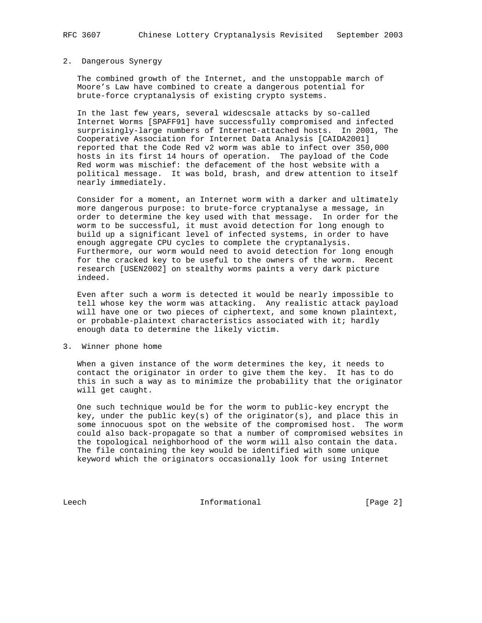### 2. Dangerous Synergy

 The combined growth of the Internet, and the unstoppable march of Moore's Law have combined to create a dangerous potential for brute-force cryptanalysis of existing crypto systems.

 In the last few years, several widescsale attacks by so-called Internet Worms [SPAFF91] have successfully compromised and infected surprisingly-large numbers of Internet-attached hosts. In 2001, The Cooperative Association for Internet Data Analysis [CAIDA2001] reported that the Code Red v2 worm was able to infect over 350,000 hosts in its first 14 hours of operation. The payload of the Code Red worm was mischief: the defacement of the host website with a political message. It was bold, brash, and drew attention to itself nearly immediately.

 Consider for a moment, an Internet worm with a darker and ultimately more dangerous purpose: to brute-force cryptanalyse a message, in order to determine the key used with that message. In order for the worm to be successful, it must avoid detection for long enough to build up a significant level of infected systems, in order to have enough aggregate CPU cycles to complete the cryptanalysis. Furthermore, our worm would need to avoid detection for long enough for the cracked key to be useful to the owners of the worm. Recent research [USEN2002] on stealthy worms paints a very dark picture indeed.

 Even after such a worm is detected it would be nearly impossible to tell whose key the worm was attacking. Any realistic attack payload will have one or two pieces of ciphertext, and some known plaintext, or probable-plaintext characteristics associated with it; hardly enough data to determine the likely victim.

3. Winner phone home

 When a given instance of the worm determines the key, it needs to contact the originator in order to give them the key. It has to do this in such a way as to minimize the probability that the originator will get caught.

 One such technique would be for the worm to public-key encrypt the key, under the public key(s) of the originator(s), and place this in some innocuous spot on the website of the compromised host. The worm could also back-propagate so that a number of compromised websites in the topological neighborhood of the worm will also contain the data. The file containing the key would be identified with some unique keyword which the originators occasionally look for using Internet

Leech Informational [Page 2]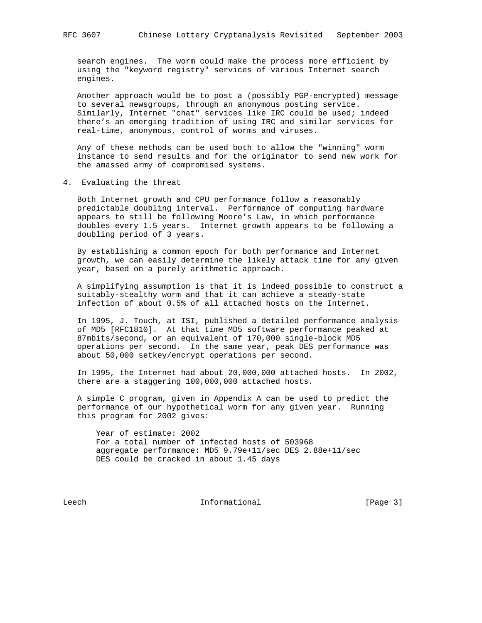search engines. The worm could make the process more efficient by using the "keyword registry" services of various Internet search engines.

 Another approach would be to post a (possibly PGP-encrypted) message to several newsgroups, through an anonymous posting service. Similarly, Internet "chat" services like IRC could be used; indeed there's an emerging tradition of using IRC and similar services for real-time, anonymous, control of worms and viruses.

 Any of these methods can be used both to allow the "winning" worm instance to send results and for the originator to send new work for the amassed army of compromised systems.

4. Evaluating the threat

 Both Internet growth and CPU performance follow a reasonably predictable doubling interval. Performance of computing hardware appears to still be following Moore's Law, in which performance doubles every 1.5 years. Internet growth appears to be following a doubling period of 3 years.

 By establishing a common epoch for both performance and Internet growth, we can easily determine the likely attack time for any given year, based on a purely arithmetic approach.

 A simplifying assumption is that it is indeed possible to construct a suitably-stealthy worm and that it can achieve a steady-state infection of about 0.5% of all attached hosts on the Internet.

 In 1995, J. Touch, at ISI, published a detailed performance analysis of MD5 [RFC1810]. At that time MD5 software performance peaked at 87mbits/second, or an equivalent of 170,000 single-block MD5 operations per second. In the same year, peak DES performance was about 50,000 setkey/encrypt operations per second.

 In 1995, the Internet had about 20,000,000 attached hosts. In 2002, there are a staggering 100,000,000 attached hosts.

 A simple C program, given in Appendix A can be used to predict the performance of our hypothetical worm for any given year. Running this program for 2002 gives:

 Year of estimate: 2002 For a total number of infected hosts of 503968 aggregate performance: MD5 9.79e+11/sec DES 2.88e+11/sec DES could be cracked in about 1.45 days

Leech **Informational** [Page 3]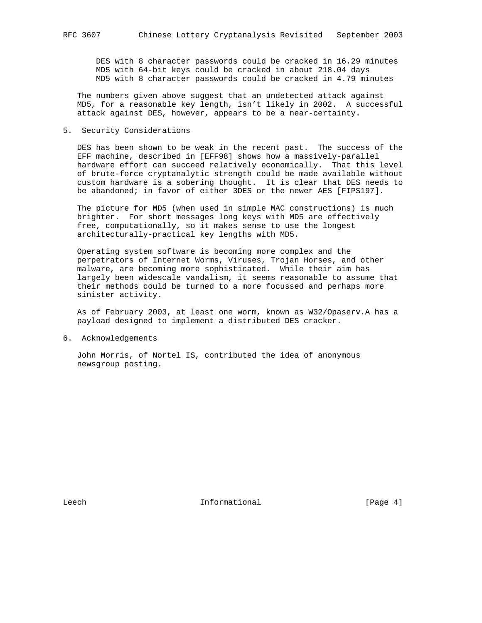DES with 8 character passwords could be cracked in 16.29 minutes MD5 with 64-bit keys could be cracked in about 218.04 days MD5 with 8 character passwords could be cracked in 4.79 minutes

 The numbers given above suggest that an undetected attack against MD5, for a reasonable key length, isn't likely in 2002. A successful attack against DES, however, appears to be a near-certainty.

# 5. Security Considerations

 DES has been shown to be weak in the recent past. The success of the EFF machine, described in [EFF98] shows how a massively-parallel hardware effort can succeed relatively economically. That this level of brute-force cryptanalytic strength could be made available without custom hardware is a sobering thought. It is clear that DES needs to be abandoned; in favor of either 3DES or the newer AES [FIPS197].

 The picture for MD5 (when used in simple MAC constructions) is much brighter. For short messages long keys with MD5 are effectively free, computationally, so it makes sense to use the longest architecturally-practical key lengths with MD5.

 Operating system software is becoming more complex and the perpetrators of Internet Worms, Viruses, Trojan Horses, and other malware, are becoming more sophisticated. While their aim has largely been widescale vandalism, it seems reasonable to assume that their methods could be turned to a more focussed and perhaps more sinister activity.

 As of February 2003, at least one worm, known as W32/Opaserv.A has a payload designed to implement a distributed DES cracker.

6. Acknowledgements

 John Morris, of Nortel IS, contributed the idea of anonymous newsgroup posting.

Leech **Informational** [Page 4]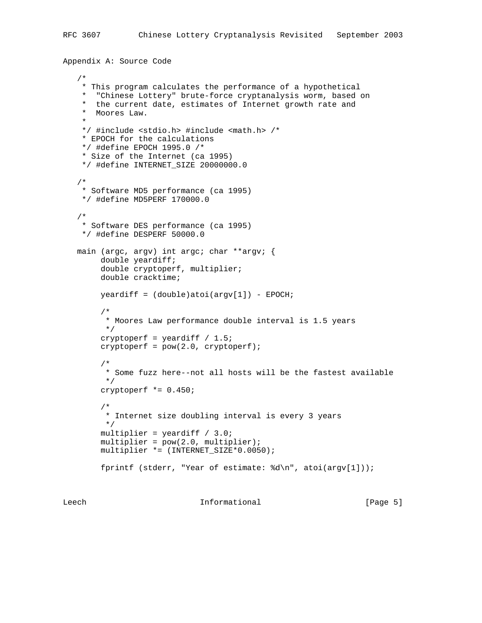```
Appendix A: Source Code
```

```
 /*
    * This program calculates the performance of a hypothetical
      "Chinese Lottery" brute-force cryptanalysis worm, based on
     * the current date, estimates of Internet growth rate and
    * Moores Law.
 *
    */ #include <stdio.h> #include <math.h> /*
    * EPOCH for the calculations
    */ #define EPOCH 1995.0 /*
     * Size of the Internet (ca 1995)
    */ #define INTERNET_SIZE 20000000.0
    /*
    * Software MD5 performance (ca 1995)
    */ #define MD5PERF 170000.0
    /*
    * Software DES performance (ca 1995)
    */ #define DESPERF 50000.0
  main (argc, argv) int argc; char **argv; {
        double yeardiff;
        double cryptoperf, multiplier;
        double cracktime;
       yeardiff = (double)atoi(argv[1]) - EPOCH; /*
         * Moores Law performance double interval is 1.5 years
         */
       cryptoperf = yeardiff / 1.5;
       cryptoperf = pow(2.0, cryptoperf); /*
         * Some fuzz here--not all hosts will be the fastest available
         */
        cryptoperf *= 0.450;
         /*
         * Internet size doubling interval is every 3 years
         */
        multiplier = yeardiff / 3.0;
       multiplier = pow(2.0, multiplier); multiplier *= (INTERNET_SIZE*0.0050);
        fprintf (stderr, "Year of estimate: %d\n", atoi(argv[1]));
```
Leech **Informational Informational** [Page 5]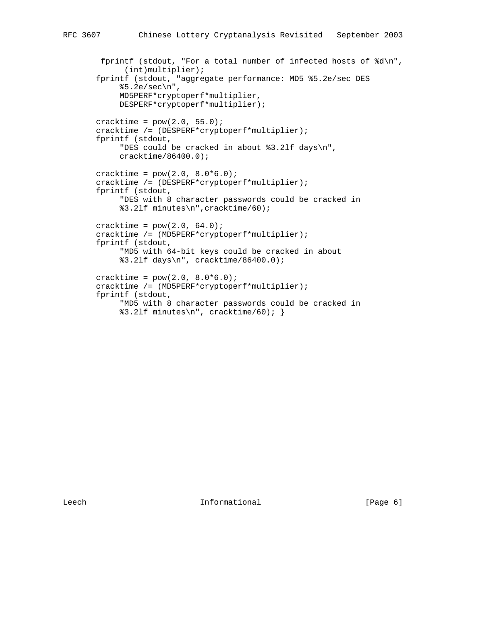```
 fprintf (stdout, "For a total number of infected hosts of %d\n",
       (int)multiplier);
 fprintf (stdout, "aggregate performance: MD5 %5.2e/sec DES
      %5.2e/sec\n",
      MD5PERF*cryptoperf*multiplier,
      DESPERF*cryptoperf*multiplier);
cracktime = pow(2.0, 55.0);
 cracktime /= (DESPERF*cryptoperf*multiplier);
 fprintf (stdout,
      "DES could be cracked in about %3.2lf days\n",
      cracktime/86400.0);
cracktime = pow(2.0, 8.0*6.0); cracktime /= (DESPERF*cryptoperf*multiplier);
 fprintf (stdout,
      "DES with 8 character passwords could be cracked in
      %3.2lf minutes\n",cracktime/60);
cracktime = pow(2.0, 64.0);
 cracktime /= (MD5PERF*cryptoperf*multiplier);
 fprintf (stdout,
      "MD5 with 64-bit keys could be cracked in about
      %3.2lf days\n", cracktime/86400.0);
cracktime = pow(2.0, 8.0*6.0);
 cracktime /= (MD5PERF*cryptoperf*multiplier);
 fprintf (stdout,
      "MD5 with 8 character passwords could be cracked in
      %3.2lf minutes\n", cracktime/60); }
```
Leech **Informational** [Page 6]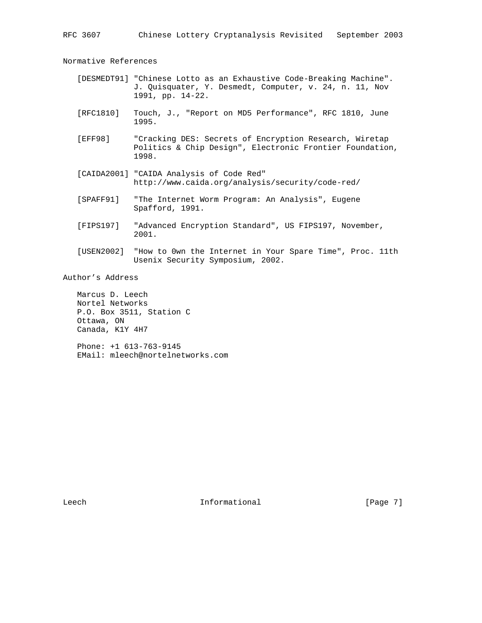Normative References

- [DESMEDT91] "Chinese Lotto as an Exhaustive Code-Breaking Machine". J. Quisquater, Y. Desmedt, Computer, v. 24, n. 11, Nov 1991, pp. 14-22.
- [RFC1810] Touch, J., "Report on MD5 Performance", RFC 1810, June 1995.
- [EFF98] "Cracking DES: Secrets of Encryption Research, Wiretap Politics & Chip Design", Electronic Frontier Foundation, 1998.
- [CAIDA2001] "CAIDA Analysis of Code Red" http://www.caida.org/analysis/security/code-red/
- [SPAFF91] "The Internet Worm Program: An Analysis", Eugene Spafford, 1991.
- [FIPS197] "Advanced Encryption Standard", US FIPS197, November, 2001.
- [USEN2002] "How to 0wn the Internet in Your Spare Time", Proc. 11th Usenix Security Symposium, 2002.

Author's Address

 Marcus D. Leech Nortel Networks P.O. Box 3511, Station C Ottawa, ON Canada, K1Y 4H7

 Phone: +1 613-763-9145 EMail: mleech@nortelnetworks.com

Leech **Informational** [Page 7]